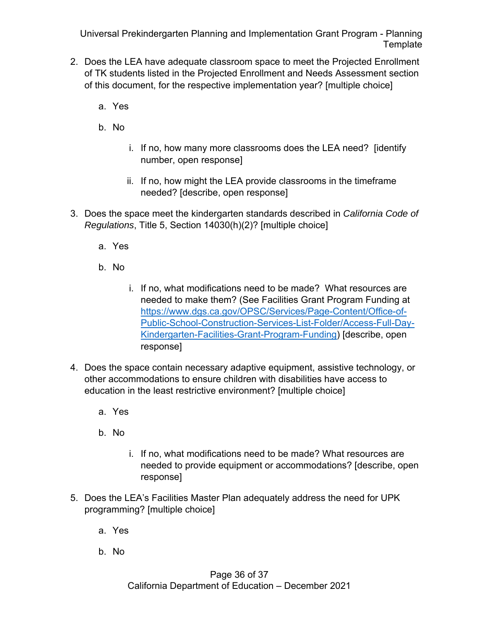- 2. Does the LEA have adequate classroom space to meet the Projected Enrollment of TK students listed in the Projected Enrollment and Needs Assessment section of this document, for the respective implementation year? [multiple choice]
	- a. Yes
	- b. No
		- i. If no, how many more classrooms does the LEA need? [identify number, open response]
		- ii. If no, how might the LEA provide classrooms in the timeframe needed? [describe, open response]
- 3. Does the space meet the kindergarten standards described in *California Code of Regulations*, Title 5, Section 14030(h)(2)? [multiple choice]
	- a. Yes
	- b. No
		- i. If no, what modifications need to be made? What resources are needed to make them? (See Facilities Grant Program Funding at https://www.dgs.ca.gov/OPSC/Services/Page-Content/Office-of-Public-School-Construction-Services-List-Folder/Access-Full-Day-Kindergarten-Facilities-Grant-Program-Funding) [describe, open response]
- 4. Does the space contain necessary adaptive equipment, assistive technology, or other accommodations to ensure children with disabilities have access to education in the least restrictive environment? [multiple choice]
	- a. Yes
	- b. No
		- i. If no, what modifications need to be made? What resources are needed to provide equipment or accommodations? [describe, open response]
- 5. Does the LEA's Facilities Master Plan adequately address the need for UPK programming? [multiple choice]
	- a. Yes
	- b. No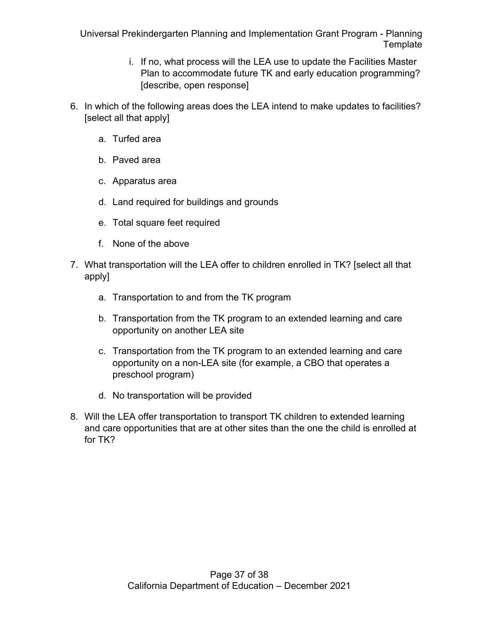- i. If no, what process will the LEA use to update the Facilities Master Plan to accommodate future TK and early education programming? [describe, open response]
- 6. In which of the following areas does the LEA intend to make updates to facilities? [select all that apply]
	- a. Turfed area
	- b. Paved area
	- c. Apparatus area
	- d. Land required for buildings and grounds
	- e. Total square feet required
	- f. None of the above
- 7. What transportation will the LEA offer to children enrolled in TK? [select all that apply]
	- a. Transportation to and from the TK program
	- b. Transportation from the TK program to an extended learning and care opportunity on another LEA site
	- c. Transportation from the TK program to an extended learning and care opportunity on a non-LEA site (for example, a CBO that operates a preschool program)
	- d. No transportation will be provided
- 8. Will the LEA offer transportation to transport TK children to extended learning and care opportunities that are at other sites than the one the child is enrolled at for TK?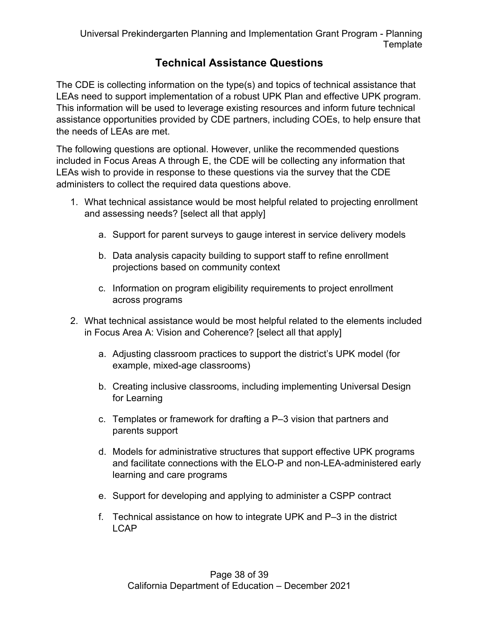# **Technical Assistance Questions**

The CDE is collecting information on the type(s) and topics of technical assistance that LEAs need to support implementation of a robust UPK Plan and effective UPK program. This information will be used to leverage existing resources and inform future technical assistance opportunities provided by CDE partners, including COEs, to help ensure that the needs of LEAs are met.

The following questions are optional. However, unlike the recommended questions included in Focus Areas A through E, the CDE will be collecting any information that LEAs wish to provide in response to these questions via the survey that the CDE administers to collect the required data questions above.

- 1. What technical assistance would be most helpful related to projecting enrollment and assessing needs? [select all that apply]
	- a. Support for parent surveys to gauge interest in service delivery models
	- b. Data analysis capacity building to support staff to refine enrollment projections based on community context
	- c. Information on program eligibility requirements to project enrollment across programs
- 2. What technical assistance would be most helpful related to the elements included in Focus Area A: Vision and Coherence? [select all that apply]
	- a. Adjusting classroom practices to support the district's UPK model (for example, mixed-age classrooms)
	- b. Creating inclusive classrooms, including implementing Universal Design for Learning
	- c. Templates or framework for drafting a P–3 vision that partners and parents support
	- d. Models for administrative structures that support effective UPK programs and facilitate connections with the ELO-P and non-LEA-administered early learning and care programs
	- e. Support for developing and applying to administer a CSPP contract
	- f. Technical assistance on how to integrate UPK and P–3 in the district LCAP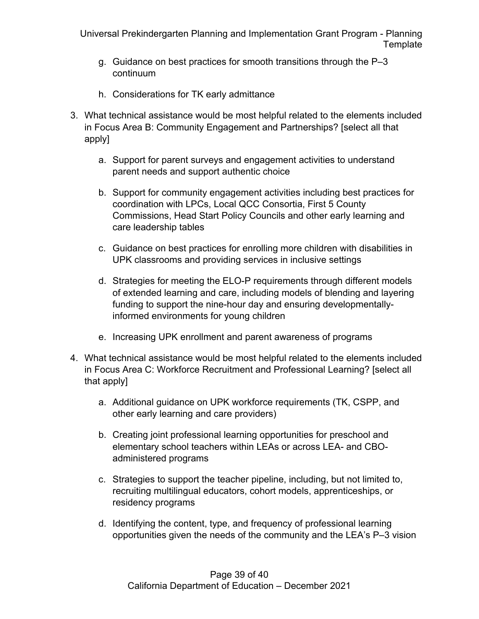- g. Guidance on best practices for smooth transitions through the P–3 continuum
- h. Considerations for TK early admittance
- 3. What technical assistance would be most helpful related to the elements included in Focus Area B: Community Engagement and Partnerships? [select all that apply]
	- a. Support for parent surveys and engagement activities to understand parent needs and support authentic choice
	- b. Support for community engagement activities including best practices for coordination with LPCs, Local QCC Consortia, First 5 County Commissions, Head Start Policy Councils and other early learning and care leadership tables
	- c. Guidance on best practices for enrolling more children with disabilities in UPK classrooms and providing services in inclusive settings
	- d. Strategies for meeting the ELO-P requirements through different models of extended learning and care, including models of blending and layering funding to support the nine-hour day and ensuring developmentallyinformed environments for young children
	- e. Increasing UPK enrollment and parent awareness of programs
- 4. What technical assistance would be most helpful related to the elements included in Focus Area C: Workforce Recruitment and Professional Learning? [select all that apply]
	- a. Additional guidance on UPK workforce requirements (TK, CSPP, and other early learning and care providers)
	- b. Creating joint professional learning opportunities for preschool and elementary school teachers within LEAs or across LEA- and CBOadministered programs
	- c. Strategies to support the teacher pipeline, including, but not limited to, recruiting multilingual educators, cohort models, apprenticeships, or residency programs
	- d. Identifying the content, type, and frequency of professional learning opportunities given the needs of the community and the LEA's P–3 vision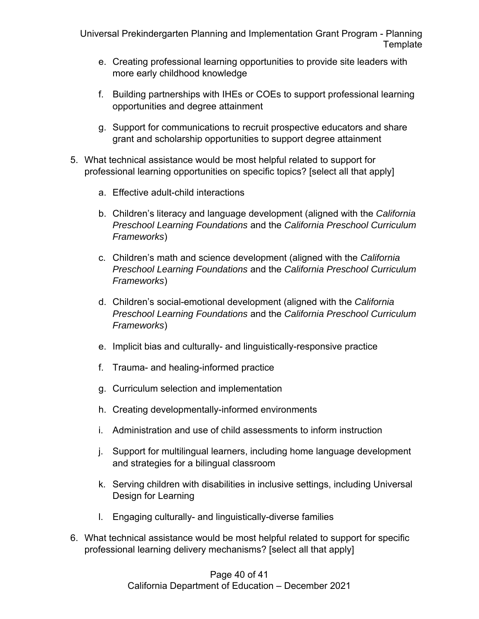- e. Creating professional learning opportunities to provide site leaders with more early childhood knowledge
- f. Building partnerships with IHEs or COEs to support professional learning opportunities and degree attainment
- g. Support for communications to recruit prospective educators and share grant and scholarship opportunities to support degree attainment
- 5. What technical assistance would be most helpful related to support for professional learning opportunities on specific topics? [select all that apply]
	- a. Effective adult-child interactions
	- b. Children's literacy and language development (aligned with the *California Preschool Learning Foundations* and the *California Preschool Curriculum Frameworks*)
	- c. Children's math and science development (aligned with the *California Preschool Learning Foundations* and the *California Preschool Curriculum Frameworks*)
	- d. Children's social-emotional development (aligned with the *California Preschool Learning Foundations* and the *California Preschool Curriculum Frameworks*)
	- e. Implicit bias and culturally- and linguistically-responsive practice
	- f. Trauma- and healing-informed practice
	- g. Curriculum selection and implementation
	- h. Creating developmentally-informed environments
	- i. Administration and use of child assessments to inform instruction
	- j. Support for multilingual learners, including home language development and strategies for a bilingual classroom
	- k. Serving children with disabilities in inclusive settings, including Universal Design for Learning
	- l. Engaging culturally- and linguistically-diverse families
- 6. What technical assistance would be most helpful related to support for specific professional learning delivery mechanisms? [select all that apply]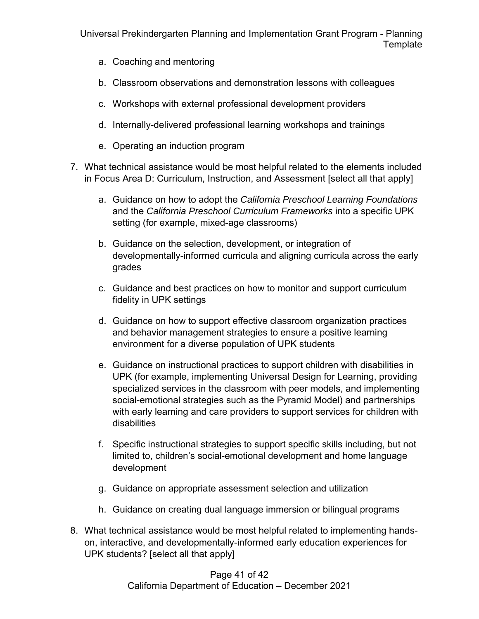- a. Coaching and mentoring
- b. Classroom observations and demonstration lessons with colleagues
- c. Workshops with external professional development providers
- d. Internally-delivered professional learning workshops and trainings
- e. Operating an induction program
- 7. What technical assistance would be most helpful related to the elements included in Focus Area D: Curriculum, Instruction, and Assessment [select all that apply]
	- a. Guidance on how to adopt the *California Preschool Learning Foundations* and the *California Preschool Curriculum Frameworks* into a specific UPK setting (for example, mixed-age classrooms)
	- b. Guidance on the selection, development, or integration of developmentally-informed curricula and aligning curricula across the early grades
	- c. Guidance and best practices on how to monitor and support curriculum fidelity in UPK settings
	- d. Guidance on how to support effective classroom organization practices and behavior management strategies to ensure a positive learning environment for a diverse population of UPK students
	- e. Guidance on instructional practices to support children with disabilities in UPK (for example, implementing Universal Design for Learning, providing specialized services in the classroom with peer models, and implementing social-emotional strategies such as the Pyramid Model) and partnerships with early learning and care providers to support services for children with disabilities
	- f. Specific instructional strategies to support specific skills including, but not limited to, children's social-emotional development and home language development
	- g. Guidance on appropriate assessment selection and utilization
	- h. Guidance on creating dual language immersion or bilingual programs
- 8. What technical assistance would be most helpful related to implementing handson, interactive, and developmentally-informed early education experiences for UPK students? [select all that apply]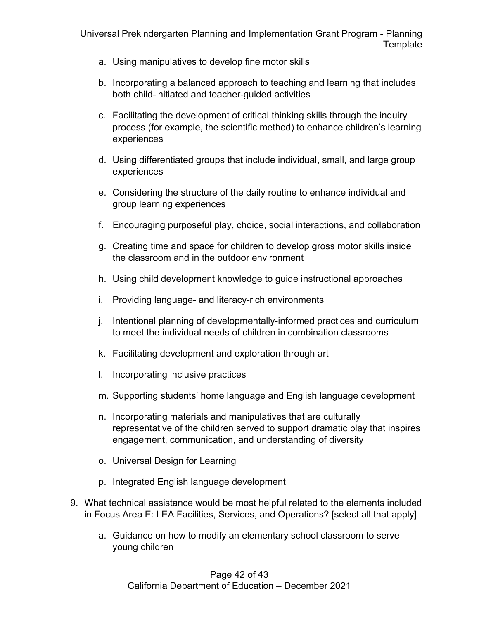- a. Using manipulatives to develop fine motor skills
- b. Incorporating a balanced approach to teaching and learning that includes both child-initiated and teacher-guided activities
- c. Facilitating the development of critical thinking skills through the inquiry process (for example, the scientific method) to enhance children's learning experiences
- d. Using differentiated groups that include individual, small, and large group experiences
- e. Considering the structure of the daily routine to enhance individual and group learning experiences
- f. Encouraging purposeful play, choice, social interactions, and collaboration
- g. Creating time and space for children to develop gross motor skills inside the classroom and in the outdoor environment
- h. Using child development knowledge to guide instructional approaches
- i. Providing language- and literacy-rich environments
- j. Intentional planning of developmentally-informed practices and curriculum to meet the individual needs of children in combination classrooms
- k. Facilitating development and exploration through art
- l. Incorporating inclusive practices
- m. Supporting students' home language and English language development
- n. Incorporating materials and manipulatives that are culturally representative of the children served to support dramatic play that inspires engagement, communication, and understanding of diversity
- o. Universal Design for Learning
- p. Integrated English language development
- 9. What technical assistance would be most helpful related to the elements included in Focus Area E: LEA Facilities, Services, and Operations? [select all that apply]
	- a. Guidance on how to modify an elementary school classroom to serve young children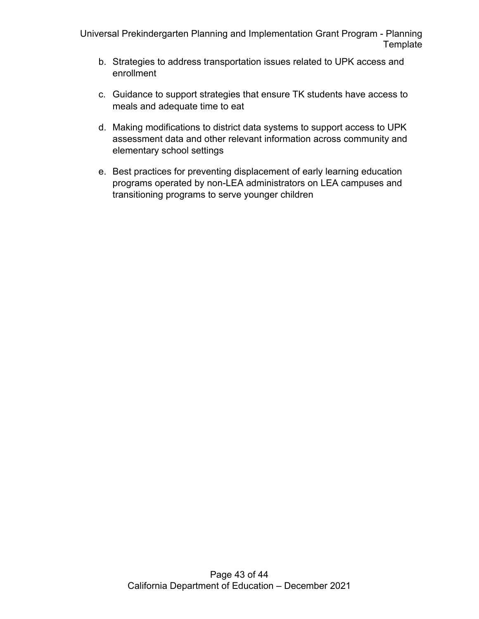- b. Strategies to address transportation issues related to UPK access and enrollment
- c. Guidance to support strategies that ensure TK students have access to meals and adequate time to eat
- d. Making modifications to district data systems to support access to UPK assessment data and other relevant information across community and elementary school settings
- e. Best practices for preventing displacement of early learning education programs operated by non-LEA administrators on LEA campuses and transitioning programs to serve younger children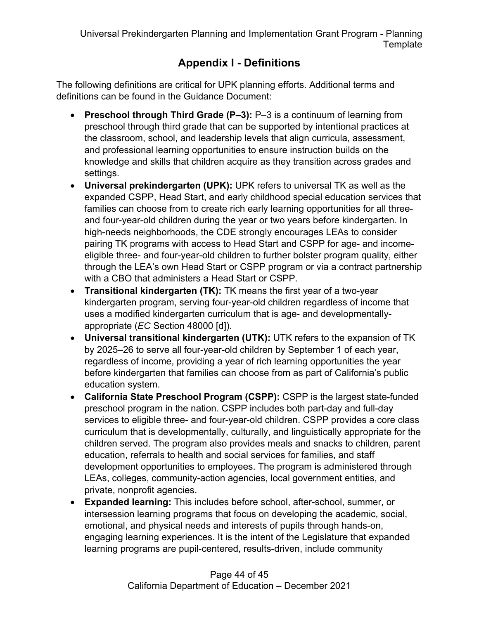# **Appendix I - Definitions**

The following definitions are critical for UPK planning efforts. Additional terms and definitions can be found in the Guidance Document:

- **Preschool through Third Grade (P–3):** P–3 is a continuum of learning from preschool through third grade that can be supported by intentional practices at the classroom, school, and leadership levels that align curricula, assessment, and professional learning opportunities to ensure instruction builds on the knowledge and skills that children acquire as they transition across grades and settings.
- **Universal prekindergarten (UPK):** UPK refers to universal TK as well as the expanded CSPP, Head Start, and early childhood special education services that families can choose from to create rich early learning opportunities for all threeand four-year-old children during the year or two years before kindergarten. In high-needs neighborhoods, the CDE strongly encourages LEAs to consider pairing TK programs with access to Head Start and CSPP for age- and incomeeligible three- and four-year-old children to further bolster program quality, either through the LEA's own Head Start or CSPP program or via a contract partnership with a CBO that administers a Head Start or CSPP.
- **Transitional kindergarten (TK):** TK means the first year of a two-year kindergarten program, serving four-year-old children regardless of income that uses a modified kindergarten curriculum that is age- and developmentallyappropriate (*EC* Section 48000 [d]).
- **Universal transitional kindergarten (UTK):** UTK refers to the expansion of TK by 2025–26 to serve all four-year-old children by September 1 of each year, regardless of income, providing a year of rich learning opportunities the year before kindergarten that families can choose from as part of California's public education system.
- **California State Preschool Program (CSPP):** CSPP is the largest state-funded preschool program in the nation. CSPP includes both part-day and full-day services to eligible three- and four-year-old children. CSPP provides a core class curriculum that is developmentally, culturally, and linguistically appropriate for the children served. The program also provides meals and snacks to children, parent education, referrals to health and social services for families, and staff development opportunities to employees. The program is administered through LEAs, colleges, community-action agencies, local government entities, and private, nonprofit agencies.
- **Expanded learning:** This includes before school, after-school, summer, or intersession learning programs that focus on developing the academic, social, emotional, and physical needs and interests of pupils through hands-on, engaging learning experiences. It is the intent of the Legislature that expanded learning programs are pupil-centered, results-driven, include community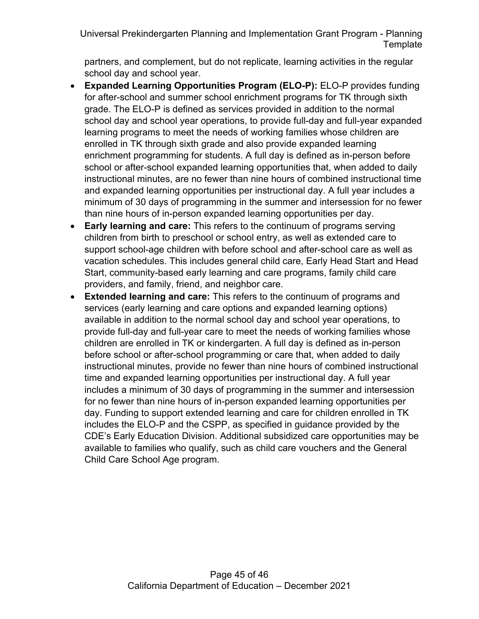partners, and complement, but do not replicate, learning activities in the regular school day and school year.

- **Expanded Learning Opportunities Program (ELO-P):** ELO-P provides funding for after-school and summer school enrichment programs for TK through sixth grade. The ELO-P is defined as services provided in addition to the normal school day and school year operations, to provide full-day and full-year expanded learning programs to meet the needs of working families whose children are enrolled in TK through sixth grade and also provide expanded learning enrichment programming for students. A full day is defined as in-person before school or after-school expanded learning opportunities that, when added to daily instructional minutes, are no fewer than nine hours of combined instructional time and expanded learning opportunities per instructional day. A full year includes a minimum of 30 days of programming in the summer and intersession for no fewer than nine hours of in-person expanded learning opportunities per day.
- **Early learning and care:** This refers to the continuum of programs serving children from birth to preschool or school entry, as well as extended care to support school-age children with before school and after-school care as well as vacation schedules. This includes general child care, Early Head Start and Head Start, community-based early learning and care programs, family child care providers, and family, friend, and neighbor care.
- **Extended learning and care:** This refers to the continuum of programs and services (early learning and care options and expanded learning options) available in addition to the normal school day and school year operations, to provide full-day and full-year care to meet the needs of working families whose children are enrolled in TK or kindergarten. A full day is defined as in-person before school or after-school programming or care that, when added to daily instructional minutes, provide no fewer than nine hours of combined instructional time and expanded learning opportunities per instructional day. A full year includes a minimum of 30 days of programming in the summer and intersession for no fewer than nine hours of in-person expanded learning opportunities per day. Funding to support extended learning and care for children enrolled in TK includes the ELO-P and the CSPP, as specified in guidance provided by the CDE's Early Education Division. Additional subsidized care opportunities may be available to families who qualify, such as child care vouchers and the General Child Care School Age program.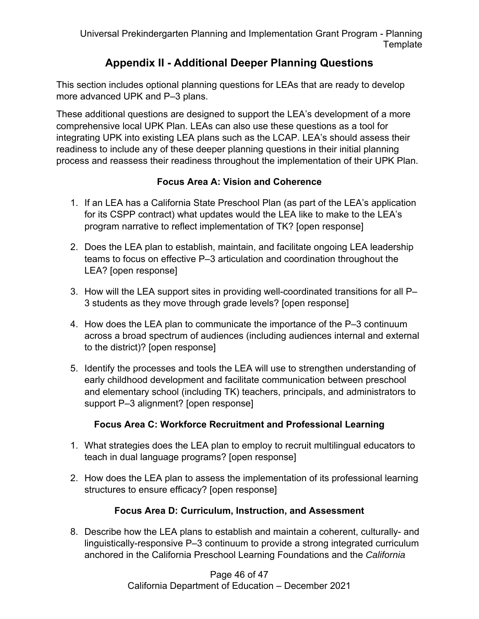# **Appendix II - Additional Deeper Planning Questions**

This section includes optional planning questions for LEAs that are ready to develop more advanced UPK and P–3 plans.

These additional questions are designed to support the LEA's development of a more comprehensive local UPK Plan. LEAs can also use these questions as a tool for integrating UPK into existing LEA plans such as the LCAP. LEA's should assess their readiness to include any of these deeper planning questions in their initial planning process and reassess their readiness throughout the implementation of their UPK Plan.

#### **Focus Area A: Vision and Coherence**

- 1. If an LEA has a California State Preschool Plan (as part of the LEA's application for its CSPP contract) what updates would the LEA like to make to the LEA's program narrative to reflect implementation of TK? [open response]
- 2. Does the LEA plan to establish, maintain, and facilitate ongoing LEA leadership teams to focus on effective P–3 articulation and coordination throughout the LEA? [open response]
- 3. How will the LEA support sites in providing well-coordinated transitions for all P– 3 students as they move through grade levels? [open response]
- 4. How does the LEA plan to communicate the importance of the P–3 continuum across a broad spectrum of audiences (including audiences internal and external to the district)? [open response]
- 5. Identify the processes and tools the LEA will use to strengthen understanding of early childhood development and facilitate communication between preschool and elementary school (including TK) teachers, principals, and administrators to support P–3 alignment? [open response]

### **Focus Area C: Workforce Recruitment and Professional Learning**

- 1. What strategies does the LEA plan to employ to recruit multilingual educators to teach in dual language programs? [open response]
- 2. How does the LEA plan to assess the implementation of its professional learning structures to ensure efficacy? [open response]

### **Focus Area D: Curriculum, Instruction, and Assessment**

8. Describe how the LEA plans to establish and maintain a coherent, culturally- and linguistically-responsive P–3 continuum to provide a strong integrated curriculum anchored in the California Preschool Learning Foundations and the *California*